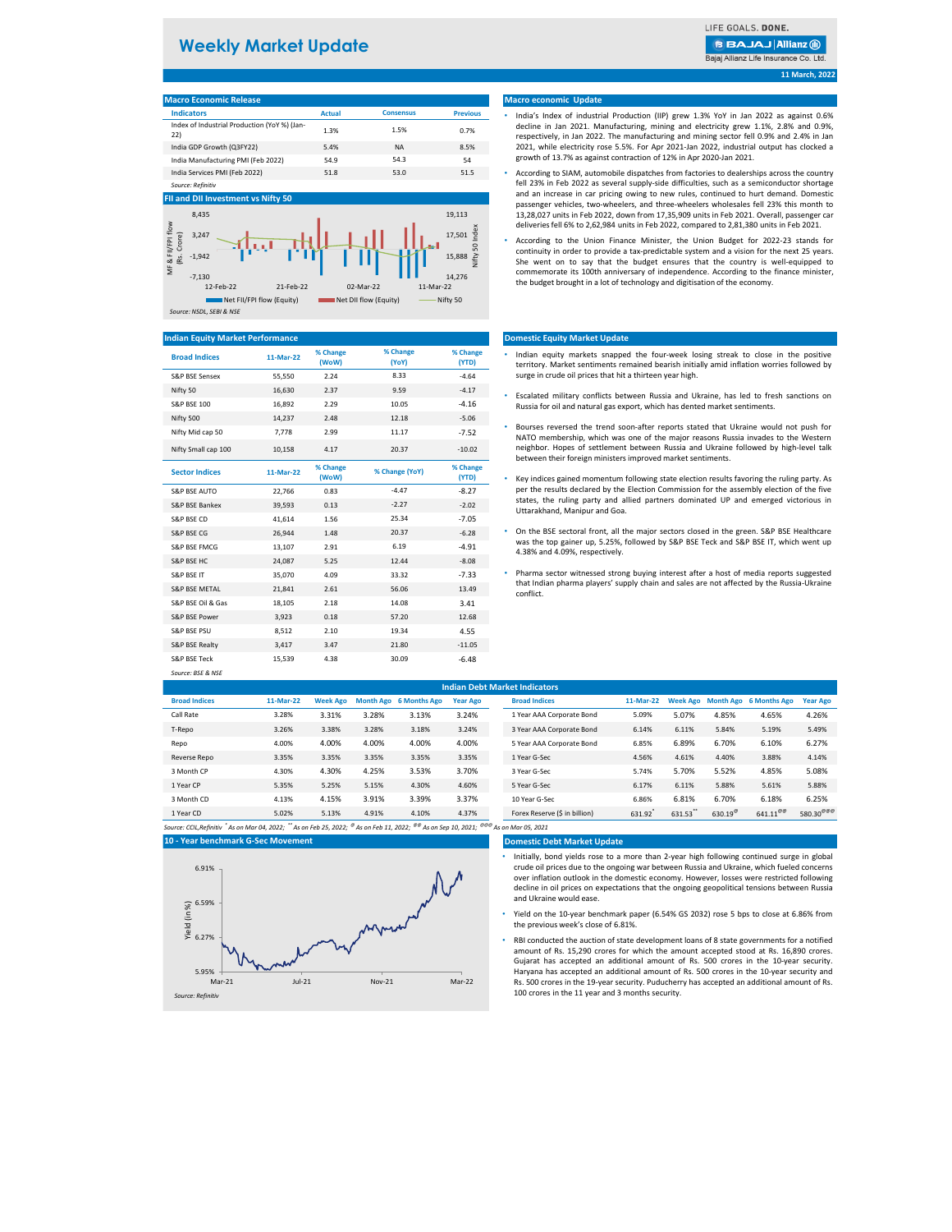| <b>Macro Economic Release</b>                       |               |                  |                 |  |  |  |  |  |  |
|-----------------------------------------------------|---------------|------------------|-----------------|--|--|--|--|--|--|
| <b>Indicators</b>                                   | <b>Actual</b> | <b>Consensus</b> | <b>Previous</b> |  |  |  |  |  |  |
| Index of Industrial Production (YoY %) (Jan-<br>22) | 1.3%          | 1.5%             | 0.7%            |  |  |  |  |  |  |
| India GDP Growth (Q3FY22)                           | 5.4%          | ΝA               | 8.5%            |  |  |  |  |  |  |
| India Manufacturing PMI (Feb 2022)                  | 54.9          | 54.3             | 54              |  |  |  |  |  |  |
| India Services PMI (Feb 2022)                       | 51.8          | 53.0             | 51.5            |  |  |  |  |  |  |
| Source: Refinitiv                                   |               |                  |                 |  |  |  |  |  |  |

| and the contract of the contract of |           |                   |                   |                   |
|-------------------------------------|-----------|-------------------|-------------------|-------------------|
| <b>Broad Indices</b>                | 11-Mar-22 | % Change<br>(WoW) | % Change<br>(YoY) | % Change<br>(YTD) |
| <b>S&amp;P BSE Sensex</b>           | 55,550    | 2.24              | 8.33              | $-4.64$           |
| Nifty 50                            | 16,630    | 2.37              | 9.59              | $-4.17$           |
| <b>S&amp;P BSE 100</b>              | 16,892    | 2.29              | 10.05             | $-4.16$           |
| Nifty 500                           | 14.237    | 2.48              | 12.18             | $-5.06$           |
| Nifty Mid cap 50                    | 7.778     | 2.99              | 11.17             | $-7.52$           |
| Nifty Small cap 100                 | 10,158    | 4.17              | 20.37             | $-10.02$          |

| <b>Sector Indices</b>     | 11-Mar-22 | % Change<br>(WoW) | % Change (YoY) | % Change<br>(YTD) |
|---------------------------|-----------|-------------------|----------------|-------------------|
| <b>S&amp;P BSE AUTO</b>   | 22,766    | 0.83              | $-4.47$        | $-8.27$           |
| <b>S&amp;P BSE Bankex</b> | 39,593    | 0.13              | $-2.27$        | $-2.02$           |
| <b>S&amp;P BSE CD</b>     | 41,614    | 1.56              | 25.34          | $-7.05$           |
| <b>S&amp;P BSE CG</b>     | 26,944    | 1.48              | 20.37          | $-6.28$           |
| <b>S&amp;P BSE FMCG</b>   | 13,107    | 2.91              | 6.19           | $-4.91$           |
| <b>S&amp;P BSE HC</b>     | 24,087    | 5.25              | 12.44          | $-8.08$           |
| <b>S&amp;P BSE IT</b>     | 35,070    | 4.09              | 33.32          | $-7.33$           |
| <b>S&amp;P BSE METAL</b>  | 21,841    | 2.61              | 56.06          | 13.49             |
| S&P BSE Oil & Gas         | 18,105    | 2.18              | 14.08          | 3.41              |
| S&P BSE Power             | 3,923     | 0.18              | 57.20          | 12.68             |
| <b>S&amp;P BSE PSU</b>    | 8,512     | 2.10              | 19.34          | 4.55              |
| S&P BSE Realty            | 3,417     | 3.47              | 21.80          | $-11.05$          |
| <b>S&amp;P BSE Teck</b>   | 15,539    | 4.38              | 30.09          | $-6.48$           |
| Source: BSE & NSE         |           |                   |                |                   |

| <b>Indian Debt Market Indicators</b> |           |                 |       |                               |                 |               |                               |        |          |                   |                                 |                       |
|--------------------------------------|-----------|-----------------|-------|-------------------------------|-----------------|---------------|-------------------------------|--------|----------|-------------------|---------------------------------|-----------------------|
| <b>Broad Indices</b>                 | 11-Mar-22 | <b>Week Ago</b> |       | <b>Month Ago</b> 6 Months Ago | <b>Year Ago</b> |               | <b>Broad Indices</b>          |        |          |                   | Week Ago Month Ago 6 Months Ago | <b>Year Ago</b>       |
| Call Rate                            | 3.28%     | 3.31%           | 3.28% | 3.13%                         | 3.24%           |               | 1 Year AAA Corporate Bond     | 5.09%  | 5.07%    | 4.85%             | 4.65%                           | 4.26%                 |
| T-Repo                               | 3.26%     | 3.38%           | 3.28% | 3.18%                         | 3.24%           |               | 3 Year AAA Corporate Bond     | 6.14%  | 6.11%    | 5.84%             | 5.19%                           | 5.49%                 |
| Repo                                 | 4.00%     | 4.00%           | 4.00% | 4.00%                         | 4.00%           |               | 5 Year AAA Corporate Bond     | 6.85%  | 6.89%    | 6.70%             | 6.10%                           | 6.27%                 |
| Reverse Repo                         | 3.35%     | 3.35%           | 3.35% | 3.35%                         | 3.35%           | 1 Year G-Sec  |                               | 4.56%  | 4.61%    | 4.40%             | 3.88%                           | 4.14%                 |
| 3 Month CP                           | 4.30%     | 4.30%           | 4.25% | 3.53%                         | 3.70%           | 3 Year G-Sec  |                               | 5.74%  | 5.70%    | 5.52%             | 4.85%                           | 5.08%                 |
| 1 Year CP                            | 5.35%     | 5.25%           | 5.15% | 4.30%                         | 4.60%           | 5 Year G-Sec  |                               | 6.17%  | 6.11%    | 5.88%             | 5.61%                           | 5.88%                 |
| 3 Month CD                           | 4.13%     | 4.15%           | 3.91% | 3.39%                         | 3.37%           | 10 Year G-Sec |                               | 6.86%  | 6.81%    | 6.70%             | 6.18%                           | 6.25%                 |
| 1 Year CD                            | 5.02%     | 5.13%           | 4.91% | 4.10%                         | 4.37%           |               | Forex Reserve (\$ in billion) | 631.92 | 631.53** | 630.19 $^{\circ}$ | $641.11^{\omega\omega}$         | 580.30 <sup>@@@</sup> |

*Source: CCIL,Refinitiv \* As on Mar 04, 2022; \*\* As on Feb 25, 2022; @ As on Feb 11, 2022; @@ As on Sep 10, 2021; @@@ As on Mar 05, 2021*

### **Domestic Debt Market Update**

## **Macro economic Update**

### **Domestic Equity Market Update**

## **Indian Equity Market Performance**

## **FII and DII Investment vs Nifty 50**

- Indian equity markets snapped the four-week losing streak to close in the positive territory. Market sentiments remained bearish initially amid inflation worries followed by surge in crude oil prices that hit a thirteen year high.
- Escalated military conflicts between Russia and Ukraine, has led to fresh sanctions on Russia for oil and natural gas export, which has dented market sentiments.
- Bourses reversed the trend soon-after reports stated that Ukraine would not push for NATO membership, which was one of the major reasons Russia invades to the Western neighbor. Hopes of settlement between Russia and Ukraine followed by high-level talk between their foreign ministers improved market sentiments.
- Key indices gained momentum following state election results favoring the ruling party. As per the results declared by the Election Commission for the assembly election of the five states, the ruling party and allied partners dominated UP and emerged victorious in Uttarakhand, Manipur and Goa.
- S&P BSE FMCG 2.91 2.91 6.19 6.19 Ferrain 2.91 6.19 and S&P BSE Teck and S&P BSE IT, which went up<br>A 2.9% and A 2.9% and A 2.0% reconstitutive • On the BSE sectoral front, all the major sectors closed in the green. S&P BSE Healthcare 4.38% and 4.09%, respectively.
	- Pharma sector witnessed strong buying interest after a host of media reports suggested that Indian pharma players' supply chain and sales are not affected by the Russia-Ukraine conflict.

# **Weekly Market Update**

## **BBAJAJ Allianz (ii)**

Bajaj Allianz Life Insurance Co. Ltd.



# **10 - Year benchmark G-Sec Movement** 5.95% 6.27% 6.59% 6.91% Mar-21 Jul-21 Nov-21 Mar-22 Yield (in %)

- India's Index of industrial Production (IIP) grew 1.3% YoY in Jan 2022 as against 0.6% decline in Jan 2021. Manufacturing, mining and electricity grew 1.1%, 2.8% and 0.9%, respectively, in Jan 2022. The manufacturing and mining sector fell 0.9% and 2.4% in Jan 2021, while electricity rose 5.5%. For Apr 2021-Jan 2022, industrial output has clocked a growth of 13.7% as against contraction of 12% in Apr 2020-Jan 2021.
- According to SIAM, automobile dispatches from factories to dealerships across the country fell 23% in Feb 2022 as several supply-side difficulties, such as a semiconductor shortage and an increase in car pricing owing to new rules, continued to hurt demand. Domestic passenger vehicles, two-wheelers, and three-wheelers wholesales fell 23% this month to 13,28,027 units in Feb 2022, down from 17,35,909 units in Feb 2021. Overall, passenger car deliveriesfell 6% to 2,62,984 units in Feb 2022, compared to 2,81,380 units in Feb 2021.
- According to the Union Finance Minister, the Union Budget for 2022-23 stands for continuity in order to provide a tax-predictable system and a vision for the next 25 years. She went on to say that the budget ensures that the country is well-equipped to commemorate its 100th anniversary of independence. According to the finance minister, the budget brought in a lot of technology and digitisation of the economy.

- Initially, bond yields rose to a more than 2-year high following continued surge in global crude oil prices due to the ongoing war between Russia and Ukraine, which fueled concerns over inflation outlook in the domestic economy. However, losses were restricted following decline in oil prices on expectations that the ongoing geopolitical tensions between Russia and Ukraine would ease.
- Yield on the 10-year benchmark paper (6.54% GS 2032) rose 5 bps to close at 6.86% from the previous week's close of 6.81%.
- RBI conducted the auction of state development loans of 8 state governments for a notified amount of Rs. 15,290 crores for which the amount accepted stood at Rs. 16,890 crores. Gujarat has accepted an additional amount of Rs. 500 crores in the 10-year security. Haryana has accepted an additional amount of Rs. 500 crores in the 10-year security and Rs. 500 crores in the 19-year security. Puducherry has accepted an additional amount of Rs. 100 crores in the 11 year and 3 months security.

*Source: Refinitiv*